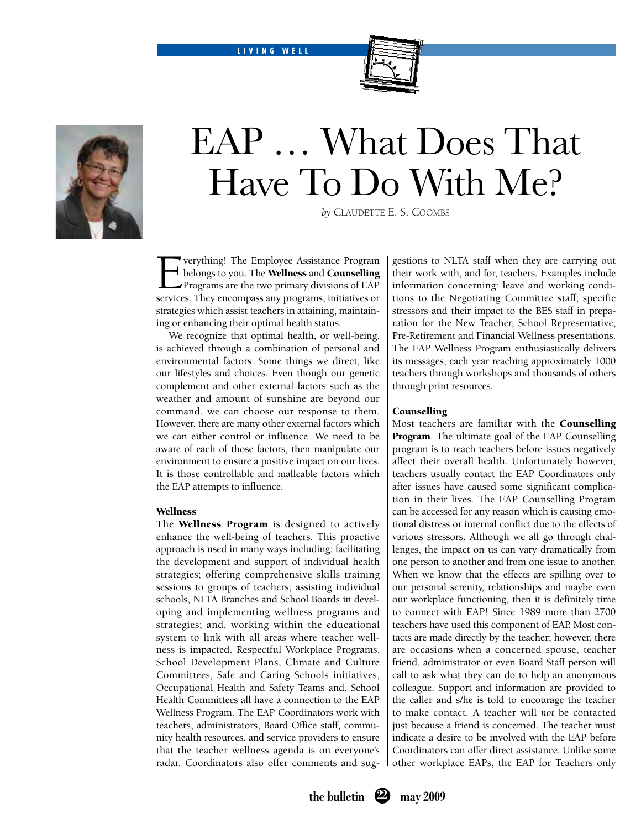LIVING WELL



# EAP … What Does That Have To Do With Me?

*by* Claudette E. S. Coombs

**Everything!** The Employee Assistance Program<br>belongs to you. The **Wellness** and **Counselling**<br>Programs are the two primary divisions of EAP<br>services. They encompass any programs, initiatives or belongs to you. The **Wellness** and **Counselling** Programs are the two primary divisions of EAP services. They encompass any programs, initiatives or strategies which assist teachers in attaining, maintaining or enhancing their optimal health status.

We recognize that optimal health, or well-being, is achieved through a combination of personal and environmental factors. Some things we direct, like our lifestyles and choices. Even though our genetic complement and other external factors such as the weather and amount of sunshine are beyond our command, we can choose our response to them. However, there are many other external factors which we can either control or influence. We need to be aware of each of those factors, then manipulate our environment to ensure a positive impact on our lives. It is those controllable and malleable factors which the EAP attempts to influence.

# Wellness

The Wellness Program is designed to actively enhance the well-being of teachers. This proactive approach is used in many ways including: facilitating the development and support of individual health strategies; offering comprehensive skills training sessions to groups of teachers; assisting individual schools, NLTA Branches and School Boards in developing and implementing wellness programs and strategies; and, working within the educational system to link with all areas where teacher wellness is impacted. Respectful Workplace Programs, School Development Plans, Climate and Culture Committees, Safe and Caring Schools initiatives, Occupational Health and Safety Teams and, School Health Committees all have a connection to the EAP Wellness Program. The EAP Coordinators work with teachers, administrators, Board Office staff, community health resources, and service providers to ensure that the teacher wellness agenda is on everyone's radar. Coordinators also offer comments and suggestions to NLTA staff when they are carrying out their work with, and for, teachers. Examples include information concerning: leave and working conditions to the Negotiating Committee staff; specific stressors and their impact to the BES staff in preparation for the New Teacher, School Representative, Pre-Retirement and Financial Wellness presentations. The EAP Wellness Program enthusiastically delivers its messages, each year reaching approximately 1000 teachers through workshops and thousands of others through print resources.

#### Counselling

Most teachers are familiar with the Counselling **Program**. The ultimate goal of the EAP Counselling program is to reach teachers before issues negatively affect their overall health. Unfortunately however, teachers usually contact the EAP Coordinators only after issues have caused some significant complication in their lives. The EAP Counselling Program can be accessed for any reason which is causing emotional distress or internal conflict due to the effects of various stressors. Although we all go through challenges, the impact on us can vary dramatically from one person to another and from one issue to another. When we know that the effects are spilling over to our personal serenity, relationships and maybe even our workplace functioning, then it is definitely time to connect with EAP! Since 1989 more than 2700 teachers have used this component of EAP. Most contacts are made directly by the teacher; however, there are occasions when a concerned spouse, teacher friend, administrator or even Board Staff person will call to ask what they can do to help an anonymous colleague. Support and information are provided to the caller and s/he is told to encourage the teacher to make contact. A teacher will *not* be contacted just because a friend is concerned. The teacher must indicate a desire to be involved with the EAP before Coordinators can offer direct assistance. Unlike some other workplace EAPs, the EAP for Teachers only